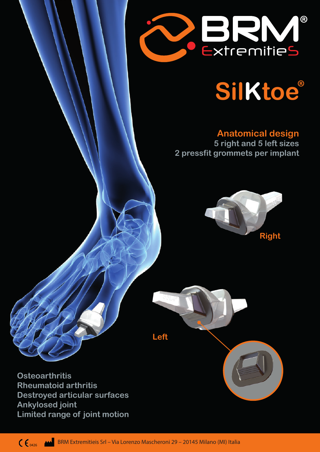

# **SilKtoe**

## **Anatomical design 5 right and 5 left sizes 2 pressfit grommets per implant**





**Osteoarthritis Rheumatoid arthritis Destroyed articular surfaces Ankylosed joint Limited range of joint motion**